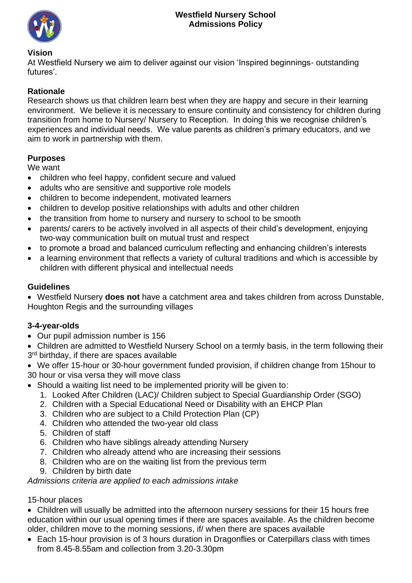

#### **Vision**

At Westfield Nursery we aim to deliver against our vision 'Inspired beginnings- outstanding futures'.

# **Rationale**

Research shows us that children learn best when they are happy and secure in their learning environment. We believe it is necessary to ensure continuity and consistency for children during transition from home to Nursery/ Nursery to Reception. In doing this we recognise children's experiences and individual needs. We value parents as children's primary educators, and we aim to work in partnership with them.

### **Purposes**

We want

- children who feel happy, confident secure and valued
- adults who are sensitive and supportive role models
- children to become independent, motivated learners
- children to develop positive relationships with adults and other children
- the transition from home to nursery and nursery to school to be smooth
- parents/ carers to be actively involved in all aspects of their child's development, enjoying two-way communication built on mutual trust and respect
- to promote a broad and balanced curriculum reflecting and enhancing children's interests
- a learning environment that reflects a variety of cultural traditions and which is accessible by children with different physical and intellectual needs

## **Guidelines**

• Westfield Nursery **does not** have a catchment area and takes children from across Dunstable, Houghton Regis and the surrounding villages

### **3-4-year-olds**

- Our pupil admission number is 156
- Children are admitted to Westfield Nursery School on a termly basis, in the term following their 3<sup>rd</sup> birthday, if there are spaces available
- We offer 15-hour or 30-hour government funded provision, if children change from 15hour to 30 hour or visa versa they will move class
- Should a waiting list need to be implemented priority will be given to:
	- 1. Looked After Children (LAC)/ Children subject to Special Guardianship Order (SGO)
	- 2. Children with a Special Educational Need or Disability with an EHCP Plan
	- 3. Children who are subject to a Child Protection Plan (CP)
	- 4. Children who attended the two-year old class
	- 5. Children of staff
	- 6. Children who have siblings already attending Nursery
	- 7. Children who already attend who are increasing their sessions
	- 8. Children who are on the waiting list from the previous term
	- 9. Children by birth date

*Admissions criteria are applied to each admissions intake*

### 15-hour places

• Children will usually be admitted into the afternoon nursery sessions for their 15 hours free education within our usual opening times if there are spaces available. As the children become older, children move to the morning sessions, if/ when there are spaces available

• Each 15-hour provision is of 3 hours duration in Dragonflies or Caterpillars class with times from 8.45-8.55am and collection from 3.20-3.30pm